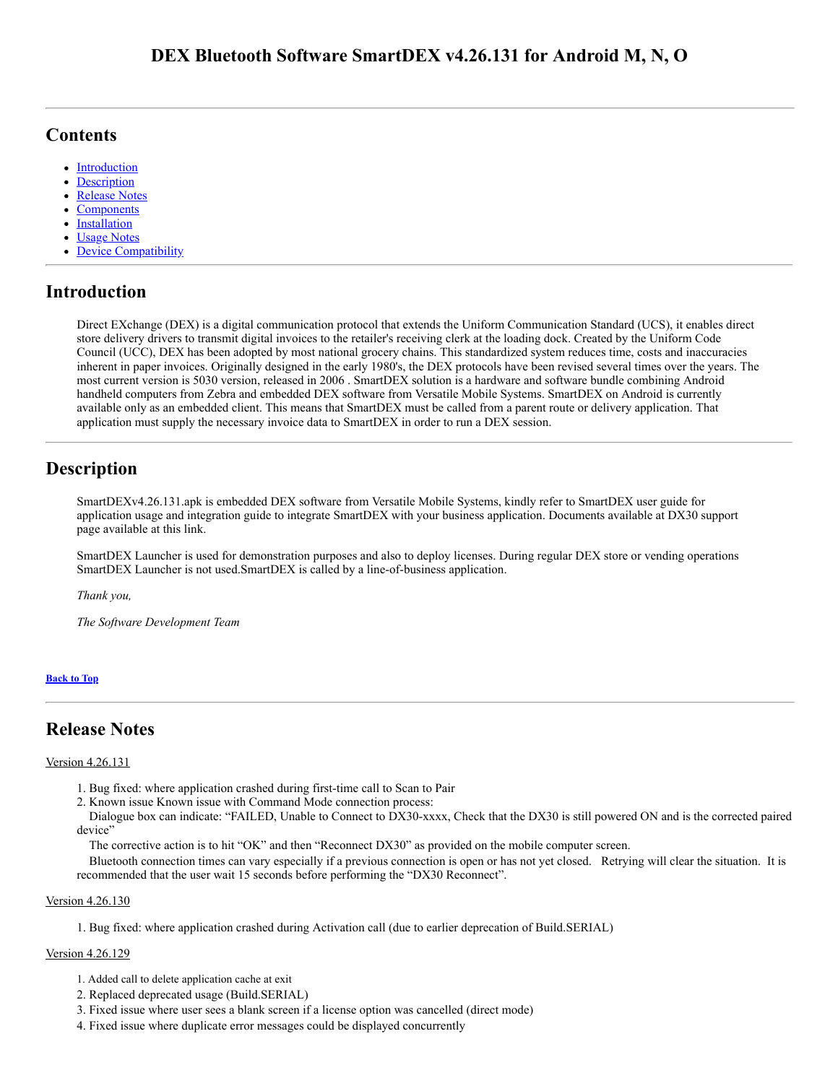# <span id="page-0-3"></span>**Contents**

- [Introduction](#page-0-0)
- **[Description](#page-0-1)**
- [Release Notes](#page-0-2)
- **[Components](#page-2-0)**
- **[Installation](#page-2-1)**
- Usage Notes
- Device Compatibility

# <span id="page-0-0"></span>**Introduction**

Direct EXchange (DEX) is a digital communication protocol that extends the Uniform Communication Standard (UCS), it enables direct store delivery drivers to transmit digital invoices to the retailer's receiving clerk at the loading dock. Created by the Uniform Code Council (UCC), DEX has been adopted by most national grocery chains. This standardized system reduces time, costs and inaccuracies inherent in paper invoices. Originally designed in the early 1980's, the DEX protocols have been revised several times over the years. The most current version is 5030 version, released in 2006 . SmartDEX solution is a hardware and software bundle combining Android handheld computers from Zebra and embedded DEX software from Versatile Mobile Systems. SmartDEX on Android is currently available only as an embedded client. This means that SmartDEX must be called from a parent route or delivery application. That application must supply the necessary invoice data to SmartDEX in order to run a DEX session.

# <span id="page-0-1"></span>**Description**

SmartDEXv4.26.131.apk is embedded DEX software from Versatile Mobile Systems, kindly refer to SmartDEX user guide for application usage and integration guide to integrate SmartDEX with your business application. Documents available at DX30 support page available at this link.

SmartDEX Launcher is used for demonstration purposes and also to deploy licenses. During regular DEX store or vending operations SmartDEX Launcher is not used.SmartDEX is called by a line-of-business application.

*Thank you,*

*The Software Development Team*

# **[Back](#page-0-3) to Top**

# <span id="page-0-2"></span>**Release Notes**

# Version 4.26.131

- 1. Bug fixed: where application crashed during first-time call to Scan to Pair
- 2. Known issue Known issue with Command Mode connection process:

 Dialogue box can indicate: "FAILED, Unable to Connect to DX30-xxxx, Check that the DX30 is still powered ON and is the corrected paired device"

The corrective action is to hit "OK" and then "Reconnect DX30" as provided on the mobile computer screen.

 Bluetooth connection times can vary especially if a previous connection is open or has not yet closed. Retrying will clear the situation. It is recommended that the user wait 15 seconds before performing the "DX30 Reconnect".

# Version 4.26.130

1. Bug fixed: where application crashed during Activation call (due to earlier deprecation of Build.SERIAL)

# Version 4.26.129

- 1. Added call to delete application cache at exit
- 2. Replaced deprecated usage (Build.SERIAL)
- 3. Fixed issue where user sees a blank screen if a license option was cancelled (direct mode)
- 4. Fixed issue where duplicate error messages could be displayed concurrently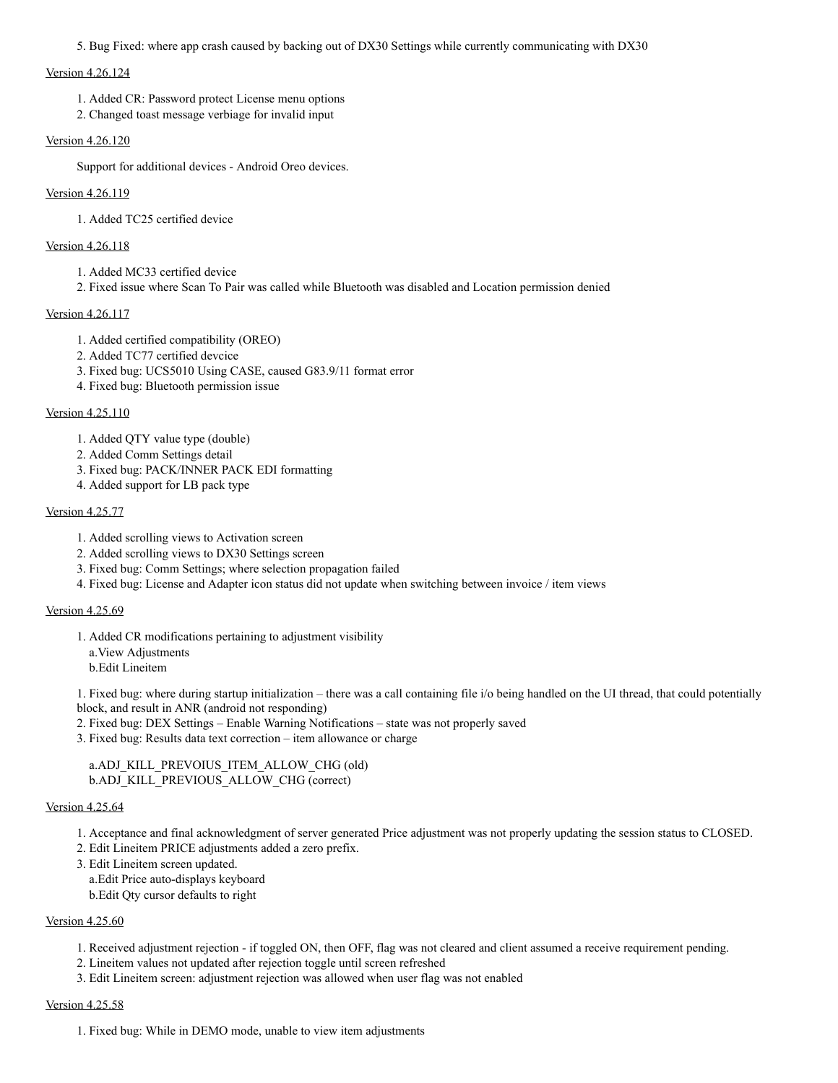5. Bug Fixed: where app crash caused by backing out of DX30 Settings while currently communicating with DX30

### Version 4.26.124

- 1. Added CR: Password protect License menu options
- 2. Changed toast message verbiage for invalid input

### Version 4.26.120

Support for additional devices - Android Oreo devices.

## Version 4.26.119

1. Added TC25 certified device

## Version 4.26.118

- 1. Added MC33 certified device
- 2. Fixed issue where Scan To Pair was called while Bluetooth was disabled and Location permission denied

### Version 4.26.117

- 1. Added certified compatibility (OREO)
- 2. Added TC77 certified devcice
- 3. Fixed bug: UCS5010 Using CASE, caused G83.9/11 format error
- 4. Fixed bug: Bluetooth permission issue

## Version 4.25.110

- 1. Added QTY value type (double)
- 2. Added Comm Settings detail
- 3. Fixed bug: PACK/INNER PACK EDI formatting
- 4. Added support for LB pack type

## Version 4.25.77

- 1. Added scrolling views to Activation screen
- 2. Added scrolling views to DX30 Settings screen
- 3. Fixed bug: Comm Settings; where selection propagation failed
- 4. Fixed bug: License and Adapter icon status did not update when switching between invoice / item views

### Version 4.25.69

- 1. Added CR modifications pertaining to adjustment visibility
	- a.View Adjustments
	- b.Edit Lineitem

1. Fixed bug: where during startup initialization – there was a call containing file i/o being handled on the UI thread, that could potentially block, and result in ANR (android not responding)

- 2. Fixed bug: DEX Settings Enable Warning Notifications state was not properly saved
- 3. Fixed bug: Results data text correction item allowance or charge

# a.ADJ\_KILL\_PREVOIUS\_ITEM\_ALLOW\_CHG (old) b.ADJ\_KILL\_PREVIOUS\_ALLOW\_CHG (correct)

# Version 4.25.64

- 1. Acceptance and final acknowledgment of server generated Price adjustment was not properly updating the session status to CLOSED.
- 2. Edit Lineitem PRICE adjustments added a zero prefix.
- 3. Edit Lineitem screen updated.

a.Edit Price auto-displays keyboard

b.Edit Qty cursor defaults to right

# Version 4.25.60

- 1. Received adjustment rejection if toggled ON, then OFF, flag was not cleared and client assumed a receive requirement pending.
- 2. Lineitem values not updated after rejection toggle until screen refreshed
- 3. Edit Lineitem screen: adjustment rejection was allowed when user flag was not enabled

#### Version 4.25.58

1. Fixed bug: While in DEMO mode, unable to view item adjustments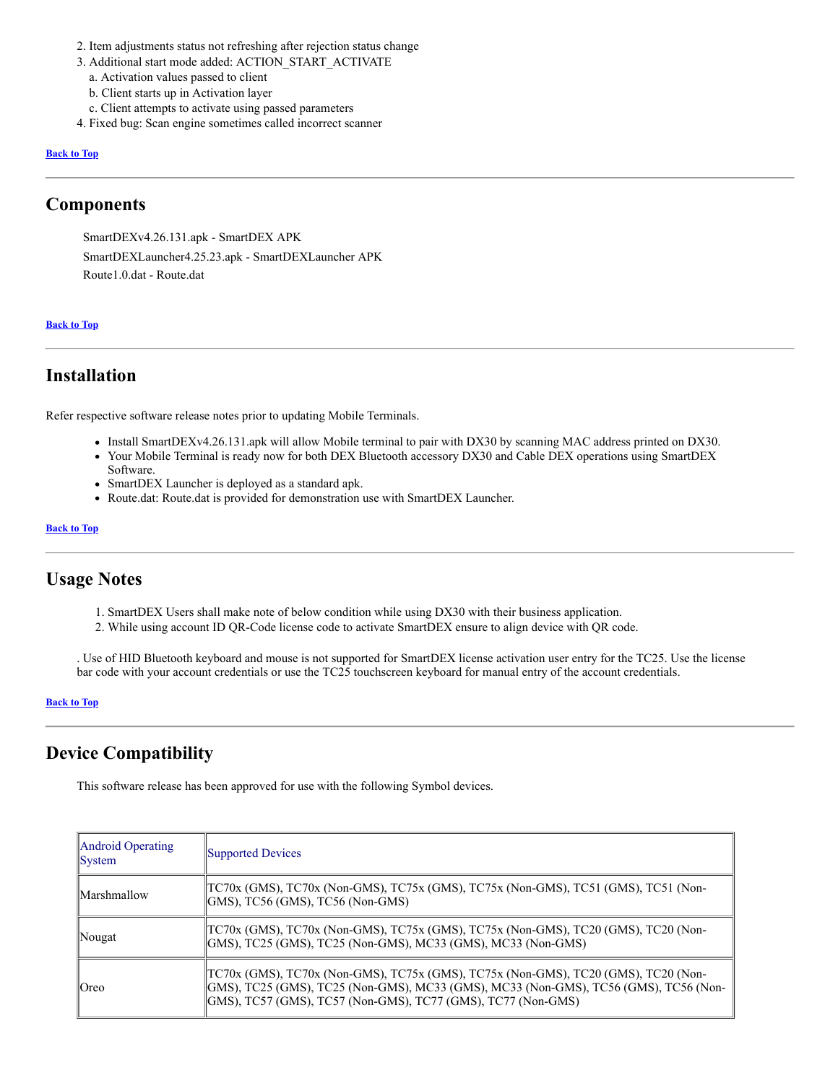- 2. Item adjustments status not refreshing after rejection status change
- 3. Additional start mode added: ACTION\_START\_ACTIVATE
- a. Activation values passed to client
- b. Client starts up in Activation layer
- c. Client attempts to activate using passed parameters
- 4. Fixed bug: Scan engine sometimes called incorrect scanner

#### **[Back](#page-0-3) to Top**

# <span id="page-2-0"></span>**Components**

SmartDEXv4.26.131.apk - SmartDEX APK SmartDEXLauncher4.25.23.apk - SmartDEXLauncher APK Route1.0.dat - Route.dat

#### **[Back](#page-0-3) to Top**

# <span id="page-2-1"></span>**Installation**

Refer respective software release notes prior to updating Mobile Terminals.

- Install SmartDEXv4.26.131.apk will allow Mobile terminal to pair with DX30 by scanning MAC address printed on DX30.
- Your Mobile Terminal is ready now for both DEX Bluetooth accessory DX30 and Cable DEX operations using SmartDEX Software.
- SmartDEX Launcher is deployed as a standard apk.
- Route.dat: Route.dat is provided for demonstration use with SmartDEX Launcher.

#### **[Back](#page-0-3) to Top**

# **Usage Notes**

- 1. SmartDEX Users shall make note of below condition while using DX30 with their business application.
- 2. While using account ID QR-Code license code to activate SmartDEX ensure to align device with QR code.

. Use of HID Bluetooth keyboard and mouse is not supported for SmartDEX license activation user entry for the TC25. Use the license bar code with your account credentials or use the TC25 touchscreen keyboard for manual entry of the account credentials.

#### **[Back](#page-0-3) to Top**

# **Device Compatibility**

This software release has been approved for use with the following Symbol devices.

| Android Operating<br> System | Supported Devices                                                                                                                                                                                                                           |
|------------------------------|---------------------------------------------------------------------------------------------------------------------------------------------------------------------------------------------------------------------------------------------|
| Marshmallow                  | [TC70x (GMS), TC70x (Non-GMS), TC75x (GMS), TC75x (Non-GMS), TC51 (GMS), TC51 (Non-<br>$ GMS $ , TC56 (GMS), TC56 (Non-GMS)                                                                                                                 |
| ∥Nougat                      | TC70x (GMS), TC70x (Non-GMS), TC75x (GMS), TC75x (Non-GMS), TC20 (GMS), TC20 (Non-<br>GMS), TC25 (GMS), TC25 (Non-GMS), MC33 (GMS), MC33 (Non-GMS)                                                                                          |
| ∥Oreo                        | [TC70x (GMS), TC70x (Non-GMS), TC75x (GMS), TC75x (Non-GMS), TC20 (GMS), TC20 (Non-<br>GMS), TC25 (GMS), TC25 (Non-GMS), MC33 (GMS), MC33 (Non-GMS), TC56 (GMS), TC56 (Non-<br>GMS), TC57 (GMS), TC57 (Non-GMS), TC77 (GMS), TC77 (Non-GMS) |